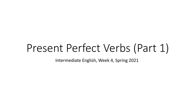# Present Perfect Verbs (Part 1)

Intermediate English, Week 4, Spring 2021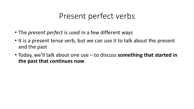# Present perfect verbs

- The *present perfect* is used in a few different ways
- It is a present tense verb, but we can use it to talk about the present and the past
- Today, we'll talk about one use to discuss **something that started in the past that continues now**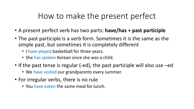# How to make the present perfect

- A present perfect verb has two parts: **have/has + past participle**
- The past participle is a verb form. Sometimes it is the same as the simple past, but sometimes it is completely different
	- I have played basketball for three years.
	- She has spoken Korean since she was a child.
- If the past tense is regular (-ed), the past participle will also use –ed
	- We have visited our grandparents every summer.
- For irregular verbs, there is no rule
	- You have eaten the same meal for lunch.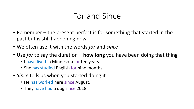# For and Since

- Remember the present perfect is for something that started in the past but is still happening now
- We often use it with the words *for* and *since*
- Use *for* to say the duration **how long** you have been doing that thing
	- I have lived in Minnesota for ten years.
	- She has studied English for nine months.
- *Since* tells us when you started doing it
	- He has worked here since August.
	- They have had a dog since 2018.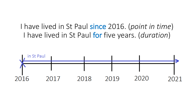## I have lived in St Paul since 2016. (*point in time*) I have lived in St Paul for five years. (*duration*)

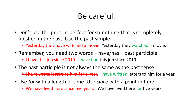# Be careful!

• Don't use the present perfect for something that is completely finished in the past. Use the past simple

• Yesterday they have watched a movie. Yesterday they watched a movie.

- Remember, you need two words have/has + past participle **• Thave this job since 2019.** I have had this job since 2019.
- The past participle is not always the same as the past tense **• I have wrote letters to him for a year.** I have written letters to him for a year.
- Use *for* with a length of time. Use *since* with a point in time

• We have lived here since five years. We have lived here for five years.